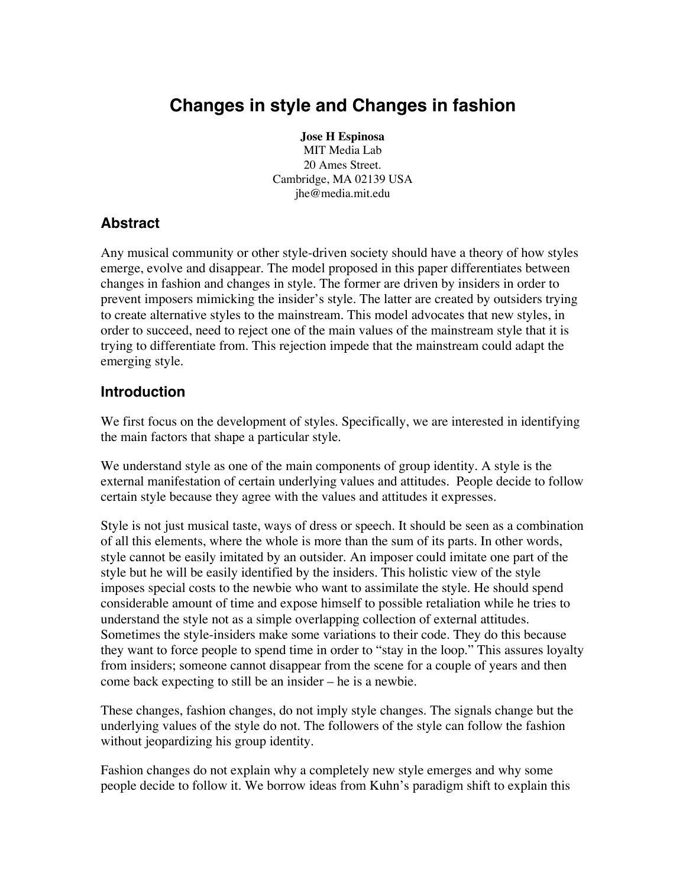# **Changes in style and Changes in fashion**

**Jose H Espinosa** MIT Media Lab 20 Ames Street. Cambridge, MA 02139 USA jhe@media.mit.edu

## **Abstract**

Any musical community or other style-driven society should have a theory of how styles emerge, evolve and disappear. The model proposed in this paper differentiates between changes in fashion and changes in style. The former are driven by insiders in order to prevent imposers mimicking the insider's style. The latter are created by outsiders trying to create alternative styles to the mainstream. This model advocates that new styles, in order to succeed, need to reject one of the main values of the mainstream style that it is trying to differentiate from. This rejection impede that the mainstream could adapt the emerging style.

#### **Introduction**

We first focus on the development of styles. Specifically, we are interested in identifying the main factors that shape a particular style.

We understand style as one of the main components of group identity. A style is the external manifestation of certain underlying values and attitudes. People decide to follow certain style because they agree with the values and attitudes it expresses.

Style is not just musical taste, ways of dress or speech. It should be seen as a combination of all this elements, where the whole is more than the sum of its parts. In other words, style cannot be easily imitated by an outsider. An imposer could imitate one part of the style but he will be easily identified by the insiders. This holistic view of the style imposes special costs to the newbie who want to assimilate the style. He should spend considerable amount of time and expose himself to possible retaliation while he tries to understand the style not as a simple overlapping collection of external attitudes. Sometimes the style-insiders make some variations to their code. They do this because they want to force people to spend time in order to "stay in the loop." This assures loyalty from insiders; someone cannot disappear from the scene for a couple of years and then come back expecting to still be an insider – he is a newbie.

These changes, fashion changes, do not imply style changes. The signals change but the underlying values of the style do not. The followers of the style can follow the fashion without jeopardizing his group identity.

Fashion changes do not explain why a completely new style emerges and why some people decide to follow it. We borrow ideas from Kuhn's paradigm shift to explain this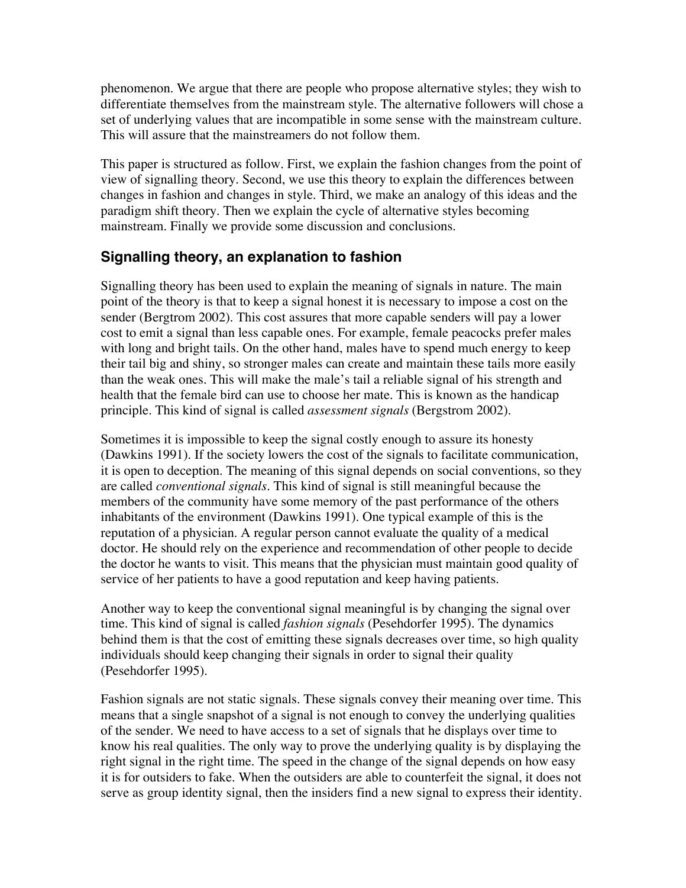phenomenon. We argue that there are people who propose alternative styles; they wish to differentiate themselves from the mainstream style. The alternative followers will chose a set of underlying values that are incompatible in some sense with the mainstream culture. This will assure that the mainstreamers do not follow them.

This paper is structured as follow. First, we explain the fashion changes from the point of view of signalling theory. Second, we use this theory to explain the differences between changes in fashion and changes in style. Third, we make an analogy of this ideas and the paradigm shift theory. Then we explain the cycle of alternative styles becoming mainstream. Finally we provide some discussion and conclusions.

## **Signalling theory, an explanation to fashion**

Signalling theory has been used to explain the meaning of signals in nature. The main point of the theory is that to keep a signal honest it is necessary to impose a cost on the sender (Bergtrom 2002). This cost assures that more capable senders will pay a lower cost to emit a signal than less capable ones. For example, female peacocks prefer males with long and bright tails. On the other hand, males have to spend much energy to keep their tail big and shiny, so stronger males can create and maintain these tails more easily than the weak ones. This will make the male's tail a reliable signal of his strength and health that the female bird can use to choose her mate. This is known as the handicap principle. This kind of signal is called *assessment signals* (Bergstrom 2002).

Sometimes it is impossible to keep the signal costly enough to assure its honesty (Dawkins 1991). If the society lowers the cost of the signals to facilitate communication, it is open to deception. The meaning of this signal depends on social conventions, so they are called *conventional signals.* This kind of signal is still meaningful because the members of the community have some memory of the past performance of the others inhabitants of the environment (Dawkins 1991). One typical example of this is the reputation of a physician. A regular person cannot evaluate the quality of a medical doctor. He should rely on the experience and recommendation of other people to decide the doctor he wants to visit. This means that the physician must maintain good quality of service of her patients to have a good reputation and keep having patients.

Another way to keep the conventional signal meaningful is by changing the signal over time. This kind of signal is called *fashion signals* (Pesehdorfer 1995). The dynamics behind them is that the cost of emitting these signals decreases over time, so high quality individuals should keep changing their signals in order to signal their quality (Pesehdorfer 1995).

Fashion signals are not static signals. These signals convey their meaning over time. This means that a single snapshot of a signal is not enough to convey the underlying qualities of the sender. We need to have access to a set of signals that he displays over time to know his real qualities. The only way to prove the underlying quality is by displaying the right signal in the right time. The speed in the change of the signal depends on how easy it is for outsiders to fake. When the outsiders are able to counterfeit the signal, it does not serve as group identity signal, then the insiders find a new signal to express their identity.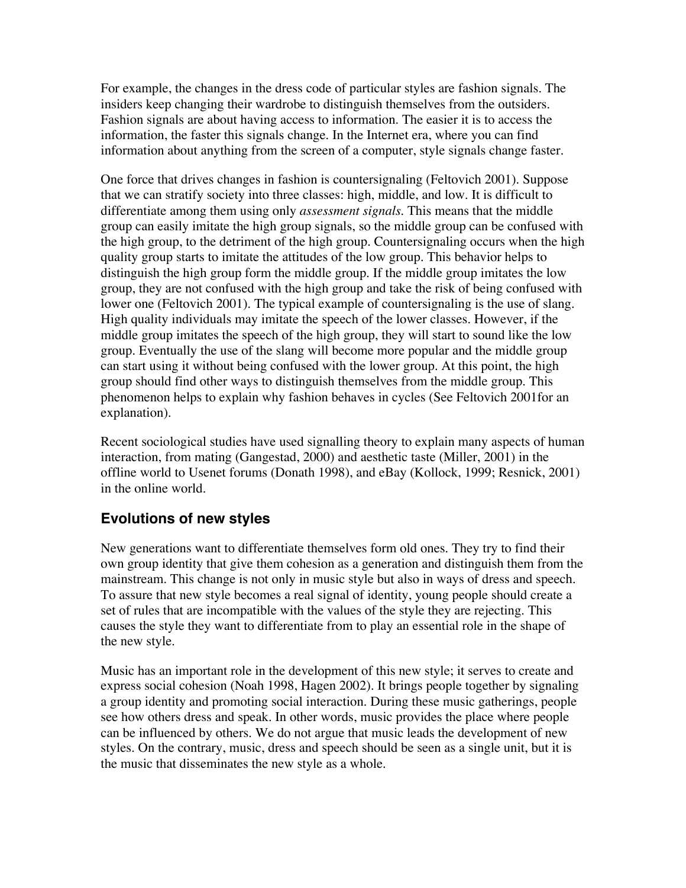For example, the changes in the dress code of particular styles are fashion signals. The insiders keep changing their wardrobe to distinguish themselves from the outsiders. Fashion signals are about having access to information. The easier it is to access the information, the faster this signals change. In the Internet era, where you can find information about anything from the screen of a computer, style signals change faster.

One force that drives changes in fashion is countersignaling (Feltovich 2001). Suppose that we can stratify society into three classes: high, middle, and low. It is difficult to differentiate among them using only *assessment signals*. This means that the middle group can easily imitate the high group signals, so the middle group can be confused with the high group, to the detriment of the high group. Countersignaling occurs when the high quality group starts to imitate the attitudes of the low group. This behavior helps to distinguish the high group form the middle group. If the middle group imitates the low group, they are not confused with the high group and take the risk of being confused with lower one (Feltovich 2001). The typical example of countersignaling is the use of slang. High quality individuals may imitate the speech of the lower classes. However, if the middle group imitates the speech of the high group, they will start to sound like the low group. Eventually the use of the slang will become more popular and the middle group can start using it without being confused with the lower group. At this point, the high group should find other ways to distinguish themselves from the middle group. This phenomenon helps to explain why fashion behaves in cycles (See Feltovich 2001for an explanation).

Recent sociological studies have used signalling theory to explain many aspects of human interaction, from mating (Gangestad, 2000) and aesthetic taste (Miller, 2001) in the offline world to Usenet forums (Donath 1998), and eBay (Kollock, 1999; Resnick, 2001) in the online world.

#### **Evolutions of new styles**

New generations want to differentiate themselves form old ones. They try to find their own group identity that give them cohesion as a generation and distinguish them from the mainstream. This change is not only in music style but also in ways of dress and speech. To assure that new style becomes a real signal of identity, young people should create a set of rules that are incompatible with the values of the style they are rejecting. This causes the style they want to differentiate from to play an essential role in the shape of the new style.

Music has an important role in the development of this new style; it serves to create and express social cohesion (Noah 1998, Hagen 2002). It brings people together by signaling a group identity and promoting social interaction. During these music gatherings, people see how others dress and speak. In other words, music provides the place where people can be influenced by others. We do not argue that music leads the development of new styles. On the contrary, music, dress and speech should be seen as a single unit, but it is the music that disseminates the new style as a whole.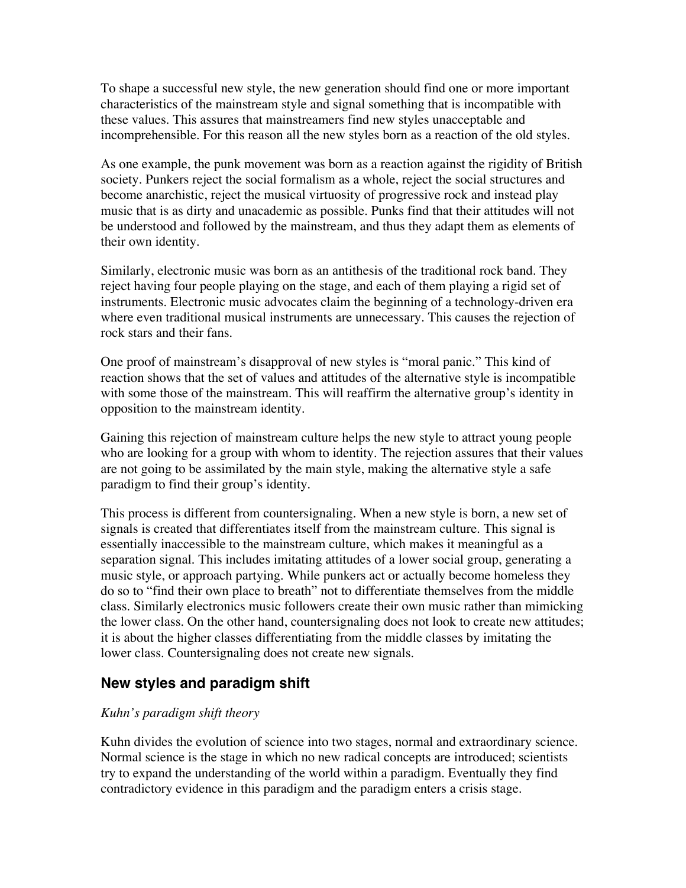To shape a successful new style, the new generation should find one or more important characteristics of the mainstream style and signal something that is incompatible with these values. This assures that mainstreamers find new styles unacceptable and incomprehensible. For this reason all the new styles born as a reaction of the old styles.

As one example, the punk movement was born as a reaction against the rigidity of British society. Punkers reject the social formalism as a whole, reject the social structures and become anarchistic, reject the musical virtuosity of progressive rock and instead play music that is as dirty and unacademic as possible. Punks find that their attitudes will not be understood and followed by the mainstream, and thus they adapt them as elements of their own identity.

Similarly, electronic music was born as an antithesis of the traditional rock band. They reject having four people playing on the stage, and each of them playing a rigid set of instruments. Electronic music advocates claim the beginning of a technology-driven era where even traditional musical instruments are unnecessary. This causes the rejection of rock stars and their fans.

One proof of mainstream's disapproval of new styles is "moral panic." This kind of reaction shows that the set of values and attitudes of the alternative style is incompatible with some those of the mainstream. This will reaffirm the alternative group's identity in opposition to the mainstream identity.

Gaining this rejection of mainstream culture helps the new style to attract young people who are looking for a group with whom to identity. The rejection assures that their values are not going to be assimilated by the main style, making the alternative style a safe paradigm to find their group's identity.

This process is different from countersignaling. When a new style is born, a new set of signals is created that differentiates itself from the mainstream culture. This signal is essentially inaccessible to the mainstream culture, which makes it meaningful as a separation signal. This includes imitating attitudes of a lower social group, generating a music style, or approach partying. While punkers act or actually become homeless they do so to "find their own place to breath" not to differentiate themselves from the middle class. Similarly electronics music followers create their own music rather than mimicking the lower class. On the other hand, countersignaling does not look to create new attitudes; it is about the higher classes differentiating from the middle classes by imitating the lower class. Countersignaling does not create new signals.

## **New styles and paradigm shift**

#### *Kuhn's paradigm shift theory*

Kuhn divides the evolution of science into two stages, normal and extraordinary science. Normal science is the stage in which no new radical concepts are introduced; scientists try to expand the understanding of the world within a paradigm. Eventually they find contradictory evidence in this paradigm and the paradigm enters a crisis stage.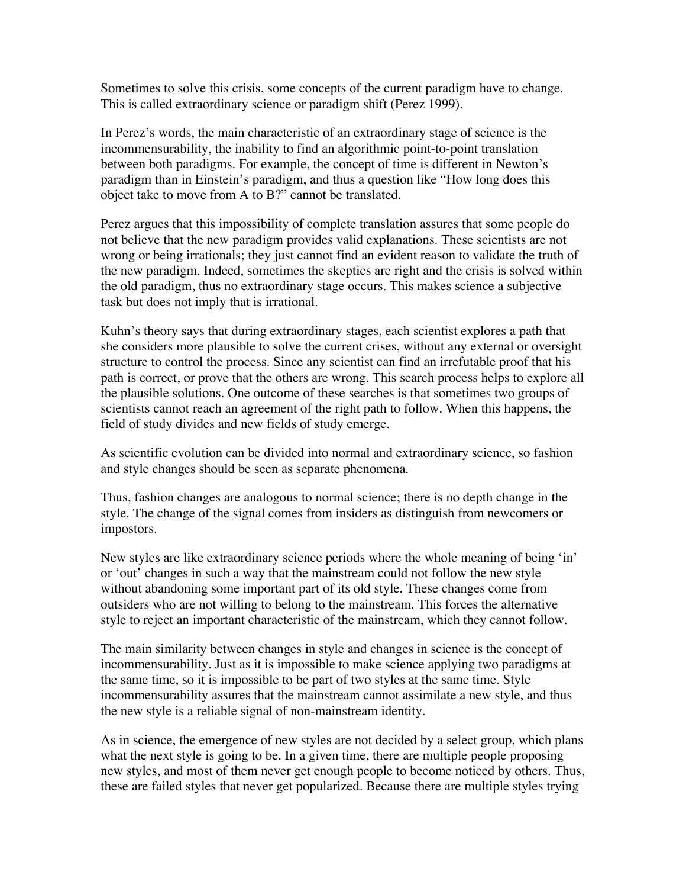Sometimes to solve this crisis, some concepts of the current paradigm have to change. This is called extraordinary science or paradigm shift (Perez 1999).

In Perez's words, the main characteristic of an extraordinary stage of science is the incommensurability, the inability to find an algorithmic point-to-point translation between both paradigms. For example, the concept of time is different in Newton's paradigm than in Einstein's paradigm, and thus a question like "How long does this object take to move from A to B?" cannot be translated.

Perez argues that this impossibility of complete translation assures that some people do not believe that the new paradigm provides valid explanations. These scientists are not wrong or being irrationals; they just cannot find an evident reason to validate the truth of the new paradigm. Indeed, sometimes the skeptics are right and the crisis is solved within the old paradigm, thus no extraordinary stage occurs. This makes science a subjective task but does not imply that is irrational.

Kuhn's theory says that during extraordinary stages, each scientist explores a path that she considers more plausible to solve the current crises, without any external or oversight structure to control the process. Since any scientist can find an irrefutable proof that his path is correct, or prove that the others are wrong. This search process helps to explore all the plausible solutions. One outcome of these searches is that sometimes two groups of scientists cannot reach an agreement of the right path to follow. When this happens, the field of study divides and new fields of study emerge.

As scientific evolution can be divided into normal and extraordinary science, so fashion and style changes should be seen as separate phenomena.

Thus, fashion changes are analogous to normal science; there is no depth change in the style. The change of the signal comes from insiders as distinguish from newcomers or impostors.

New styles are like extraordinary science periods where the whole meaning of being 'in' or 'out' changes in such a way that the mainstream could not follow the new style without abandoning some important part of its old style. These changes come from outsiders who are not willing to belong to the mainstream. This forces the alternative style to reject an important characteristic of the mainstream, which they cannot follow.

The main similarity between changes in style and changes in science is the concept of incommensurability. Just as it is impossible to make science applying two paradigms at the same time, so it is impossible to be part of two styles at the same time. Style incommensurability assures that the mainstream cannot assimilate a new style, and thus the new style is a reliable signal of non-mainstream identity.

As in science, the emergence of new styles are not decided by a select group, which plans what the next style is going to be. In a given time, there are multiple people proposing new styles, and most of them never get enough people to become noticed by others. Thus, these are failed styles that never get popularized. Because there are multiple styles trying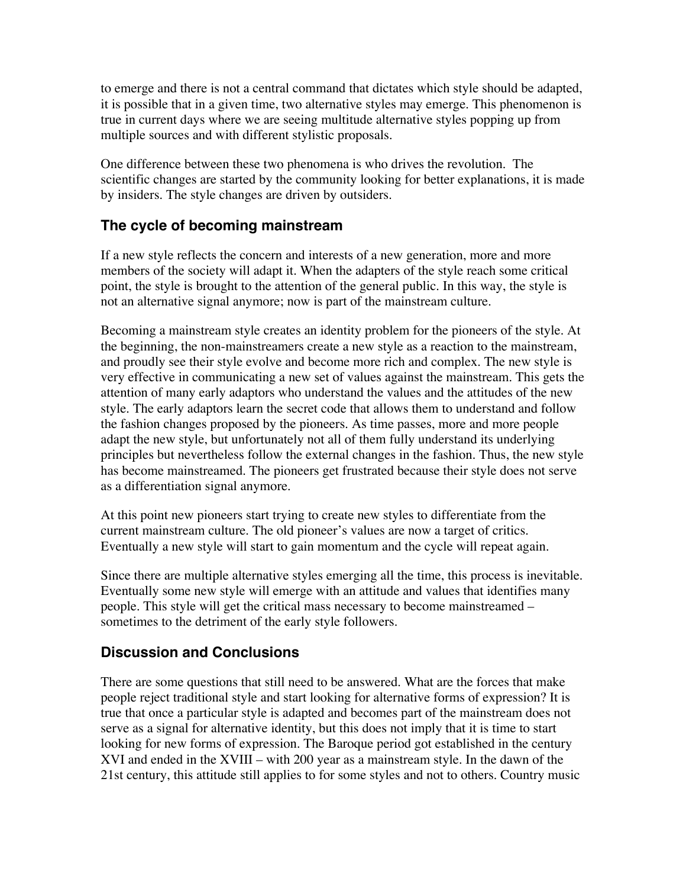to emerge and there is not a central command that dictates which style should be adapted, it is possible that in a given time, two alternative styles may emerge. This phenomenon is true in current days where we are seeing multitude alternative styles popping up from multiple sources and with different stylistic proposals.

One difference between these two phenomena is who drives the revolution. The scientific changes are started by the community looking for better explanations, it is made by insiders. The style changes are driven by outsiders.

## **The cycle of becoming mainstream**

If a new style reflects the concern and interests of a new generation, more and more members of the society will adapt it. When the adapters of the style reach some critical point, the style is brought to the attention of the general public. In this way, the style is not an alternative signal anymore; now is part of the mainstream culture.

Becoming a mainstream style creates an identity problem for the pioneers of the style. At the beginning, the non-mainstreamers create a new style as a reaction to the mainstream, and proudly see their style evolve and become more rich and complex. The new style is very effective in communicating a new set of values against the mainstream. This gets the attention of many early adaptors who understand the values and the attitudes of the new style. The early adaptors learn the secret code that allows them to understand and follow the fashion changes proposed by the pioneers. As time passes, more and more people adapt the new style, but unfortunately not all of them fully understand its underlying principles but nevertheless follow the external changes in the fashion. Thus, the new style has become mainstreamed. The pioneers get frustrated because their style does not serve as a differentiation signal anymore.

At this point new pioneers start trying to create new styles to differentiate from the current mainstream culture. The old pioneer's values are now a target of critics. Eventually a new style will start to gain momentum and the cycle will repeat again.

Since there are multiple alternative styles emerging all the time, this process is inevitable. Eventually some new style will emerge with an attitude and values that identifies many people. This style will get the critical mass necessary to become mainstreamed – sometimes to the detriment of the early style followers.

## **Discussion and Conclusions**

There are some questions that still need to be answered. What are the forces that make people reject traditional style and start looking for alternative forms of expression? It is true that once a particular style is adapted and becomes part of the mainstream does not serve as a signal for alternative identity, but this does not imply that it is time to start looking for new forms of expression. The Baroque period got established in the century XVI and ended in the XVIII – with 200 year as a mainstream style. In the dawn of the 21st century, this attitude still applies to for some styles and not to others. Country music